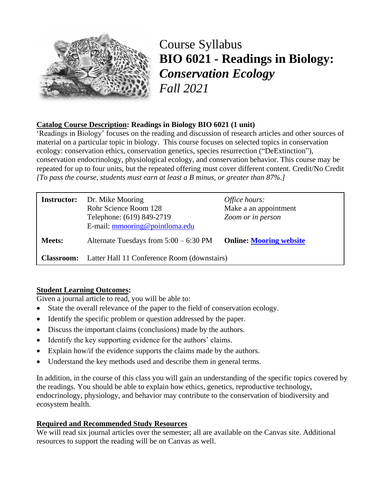

Course Syllabus **BIO 6021 - Readings in Biology:**  *Conservation Ecology Fall 2021*

## **Catalog Course Description: Readings in Biology BIO 6021 (1 unit)**

'Readings in Biology' focuses on the reading and discussion of research articles and other sources of material on a particular topic in biology. This course focuses on selected topics in conservation ecology: conservation ethics, conservation genetics, species resurrection ("DeExtinction"), conservation endocrinology, physiological ecology, and conservation behavior. This course may be repeated for up to four units, but the repeated offering must cover different content. Credit/No Credit *[To pass the course, students must earn at least a B minus, or greater than 87%.]*

| <b>Instructor:</b> | Dr. Mike Mooring<br>Rohr Science Room 128<br>Telephone: (619) 849-2719<br>E-mail: mmooring@pointloma.edu | Office hours:<br>Make a an appointment<br>Zoom or in person |  |
|--------------------|----------------------------------------------------------------------------------------------------------|-------------------------------------------------------------|--|
| <b>Meets:</b>      | Alternate Tuesdays from $5:00 - 6:30$ PM                                                                 | <b>Online: Mooring website</b>                              |  |
| <b>Classroom:</b>  | Latter Hall 11 Conference Room (downstairs)                                                              |                                                             |  |

## **Student Learning Outcomes:**

Given a journal article to read, you will be able to:

- State the overall relevance of the paper to the field of conservation ecology.
- Identify the specific problem or question addressed by the paper.
- Discuss the important claims (conclusions) made by the authors.
- Identify the key supporting evidence for the authors' claims.
- Explain how/if the evidence supports the claims made by the authors.
- Understand the key methods used and describe them in general terms.

In addition, in the course of this class you will gain an understanding of the specific topics covered by the readings. You should be able to explain how ethics, genetics, reproductive technology, endocrinology, physiology, and behavior may contribute to the conservation of biodiversity and ecosystem health.

## **Required and Recommended Study Resources**

We will read six journal articles over the semester; all are available on the Canvas site. Additional resources to support the reading will be on Canvas as well.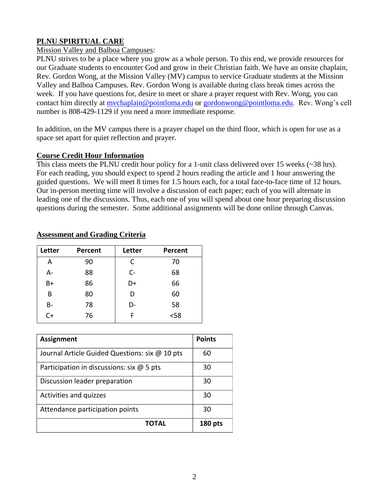## **PLNU SPIRITUAL CARE**

### Mission Valley and Balboa Campuses:

PLNU strives to be a place where you grow as a whole person. To this end, we provide resources for our Graduate students to encounter God and grow in their Christian faith. We have an onsite chaplain, Rev. Gordon Wong, at the Mission Valley (MV) campus to service Graduate students at the Mission Valley and Balboa Campuses. Rev. Gordon Wong is available during class break times across the week. If you have questions for, desire to meet or share a prayer request with Rev. Wong, you can contact him directly at mychaplain@pointloma.edu or [gordonwong@pointloma.edu.](mailto:gordonwong@pointloma.edu) Rev. Wong's cell number is 808-429-1129 if you need a more immediate response.

In addition, on the MV campus there is a prayer chapel on the third floor, which is open for use as a space set apart for quiet reflection and prayer.

### **Course Credit Hour Information**

This class meets the PLNU credit hour policy for a 1-unit class delivered over 15 weeks (~38 hrs). For each reading, you should expect to spend 2 hours reading the article and 1 hour answering the guided questions. We will meet 8 times for 1.5 hours each, for a total face-to-face time of 12 hours. Our in-person meeting time will involve a discussion of each paper; each of you will alternate in leading one of the discussions. Thus, each one of you will spend about one hour preparing discussion questions during the semester. Some additional assignments will be done online through Canvas.

| Letter | Percent | Letter | Percent |
|--------|---------|--------|---------|
| A      | 90      | C      | 70      |
| A-     | 88      | $C -$  | 68      |
| B+     | 86      | D+     | 66      |
| B      | 80      | D      | 60      |
| B-     | 78      | D-     | 58      |
| $C+$   | 76      | F      | $58$    |

### **Assessment and Grading Criteria**

| <b>Assignment</b>                              | <b>Points</b>  |
|------------------------------------------------|----------------|
| Journal Article Guided Questions: six @ 10 pts | 60             |
| Participation in discussions: six $@$ 5 pts    | 30             |
| Discussion leader preparation                  | 30             |
| Activities and quizzes                         | 30             |
| Attendance participation points                | 30             |
| TOTAL                                          | <b>180 pts</b> |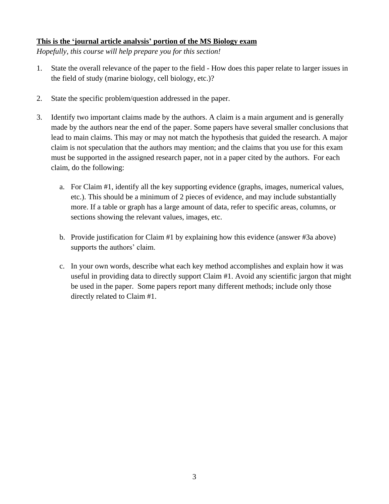### **This is the 'journal article analysis' portion of the MS Biology exam**

*Hopefully, this course will help prepare you for this section!*

- 1. State the overall relevance of the paper to the field How does this paper relate to larger issues in the field of study (marine biology, cell biology, etc.)?
- 2. State the specific problem/question addressed in the paper.
- 3. Identify two important claims made by the authors. A claim is a main argument and is generally made by the authors near the end of the paper. Some papers have several smaller conclusions that lead to main claims. This may or may not match the hypothesis that guided the research. A major claim is not speculation that the authors may mention; and the claims that you use for this exam must be supported in the assigned research paper, not in a paper cited by the authors. For each claim, do the following:
	- a. For Claim #1, identify all the key supporting evidence (graphs, images, numerical values, etc.). This should be a minimum of 2 pieces of evidence, and may include substantially more. If a table or graph has a large amount of data, refer to specific areas, columns, or sections showing the relevant values, images, etc.
	- b. Provide justification for Claim #1 by explaining how this evidence (answer #3a above) supports the authors' claim.
	- c. In your own words, describe what each key method accomplishes and explain how it was useful in providing data to directly support Claim #1. Avoid any scientific jargon that might be used in the paper. Some papers report many different methods; include only those directly related to Claim #1.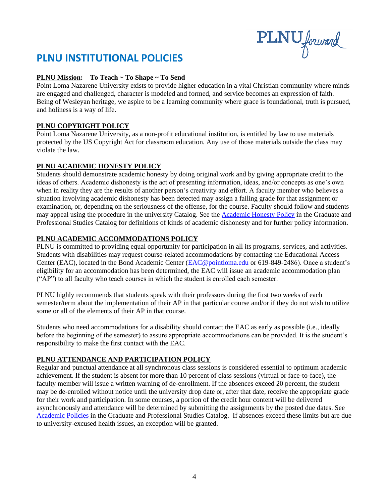PLNU forward

## **PLNU INSTITUTIONAL POLICIES**

### **PLNU Mission: To Teach ~ To Shape ~ To Send**

Point Loma Nazarene University exists to provide higher education in a vital Christian community where minds are engaged and challenged, character is modeled and formed, and service becomes an expression of faith. Being of Wesleyan heritage, we aspire to be a learning community where grace is foundational, truth is pursued, and holiness is a way of life.

### **PLNU COPYRIGHT POLICY**

Point Loma Nazarene University, as a non-profit educational institution, is entitled by law to use materials protected by the US Copyright Act for classroom education. Any use of those materials outside the class may violate the law.

### **PLNU ACADEMIC HONESTY POLICY**

Students should demonstrate academic honesty by doing original work and by giving appropriate credit to the ideas of others. Academic dishonesty is the act of presenting information, ideas, and/or concepts as one's own when in reality they are the results of another person's creativity and effort. A faculty member who believes a situation involving academic dishonesty has been detected may assign a failing grade for that assignment or examination, or, depending on the seriousness of the offense, for the course. Faculty should follow and students may appeal using the procedure in the university Catalog. See the [Academic Honesty Policy](https://catalog.pointloma.edu/content.php?catoid=54&navoid=3048#Academic_Honesty) in the Graduate and Professional Studies Catalog for definitions of kinds of academic dishonesty and for further policy information.

### **PLNU ACADEMIC ACCOMMODATIONS POLICY**

PLNU is committed to providing equal opportunity for participation in all its programs, services, and activities. Students with disabilities may request course-related accommodations by contacting the Educational Access Center (EAC), located in the Bond Academic Center [\(EAC@pointloma.edu](mailto:EAC@pointloma.edu) or 619-849-2486). Once a student's eligibility for an accommodation has been determined, the EAC will issue an academic accommodation plan ("AP") to all faculty who teach courses in which the student is enrolled each semester.

PLNU highly recommends that students speak with their professors during the first two weeks of each semester/term about the implementation of their AP in that particular course and/or if they do not wish to utilize some or all of the elements of their AP in that course.

Students who need accommodations for a disability should contact the EAC as early as possible (i.e., ideally before the beginning of the semester) to assure appropriate accommodations can be provided. It is the student's responsibility to make the first contact with the EAC.

### **PLNU ATTENDANCE AND PARTICIPATION POLICY**

Regular and punctual attendance at all synchronous class sessions is considered essential to optimum academic achievement. If the student is absent for more than 10 percent of class sessions (virtual or face-to-face), the faculty member will issue a written warning of de-enrollment. If the absences exceed 20 percent, the student may be de-enrolled without notice until the university drop date or, after that date, receive the appropriate grade for their work and participation. In some courses, a portion of the credit hour content will be delivered asynchronously and attendance will be determined by submitting the assignments by the posted due dates. See [Academic Policies](https://catalog.pointloma.edu/content.php?catoid=54&navoid=3048#Academic_Honesty) in the Graduate and Professional Studies Catalog. If absences exceed these limits but are due to university-excused health issues, an exception will be granted.